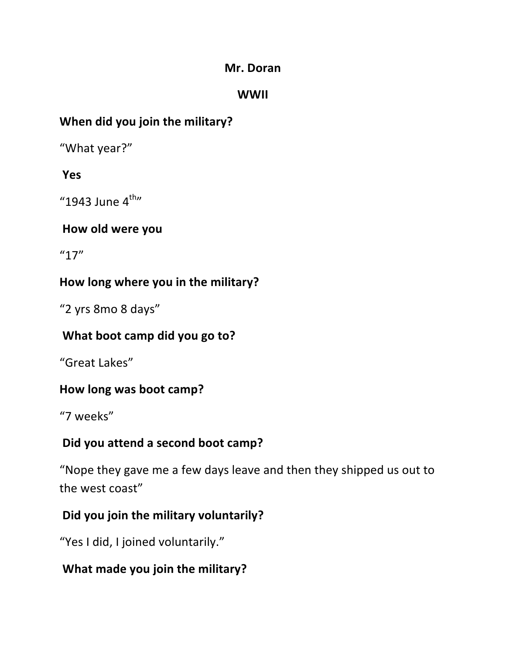#### **Mr.\$Doran**

#### **WWII**

### **When did you join the military?**

"What year?"

#### **Yes**

"1943 June  $4^{\text{th}}$ "

#### How old were you

"17"

#### How long where you in the military?

"2 yrs 8mo 8 days"

#### **What boot camp did you go to?**

"Great Lakes"

#### **How long was boot camp?**

"7 weeks"

#### **Did you attend a second boot camp?**

"Nope they gave me a few days leave and then they shipped us out to the west coast"

### **Did you join the military voluntarily?**

"Yes I did, I joined voluntarily."

#### **What made you join the military?**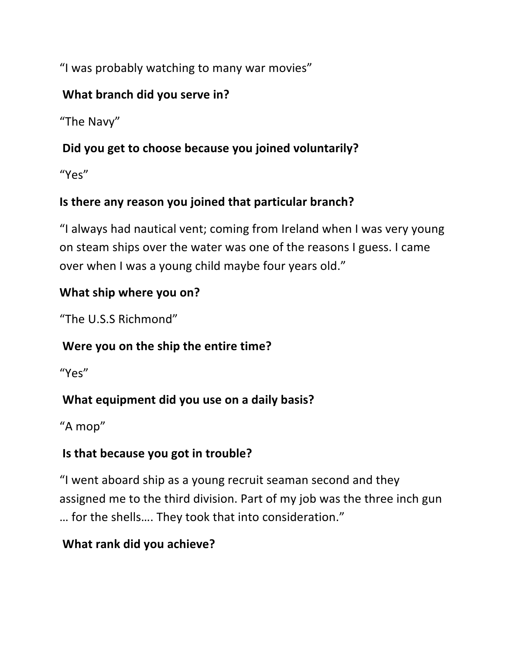"I was probably watching to many war movies"

### **What branch did you serve in?**

"The Navy"

## Did you get to choose because you joined voluntarily?

"Yes"

## **Is there any reason you joined that particular branch?**

"I always had nautical vent; coming from Ireland when I was very young on steam ships over the water was one of the reasons I guess. I came over when I was a young child maybe four years old."

### **What ship where you on?**

"The U.S.S Richmond"

# **Were you on the ship the entire time?**

"Yes"

# What equipment did you use on a daily basis?

"A mop"

# **Is that because you got in trouble?**

"I went aboard ship as a young recruit seaman second and they assigned me to the third division. Part of my job was the three inch gun ... for the shells.... They took that into consideration."

# **What rank did you achieve?**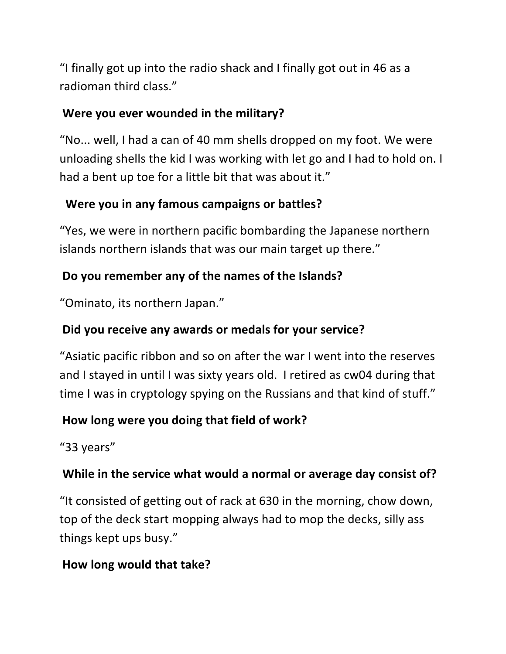"I finally got up into the radio shack and I finally got out in 46 as a radioman third class."

#### **Were you ever wounded in the military?**

"No... well, I had a can of 40 mm shells dropped on my foot. We were unloading shells the kid I was working with let go and I had to hold on. I had a bent up toe for a little bit that was about it."

## Were you in any famous campaigns or battles?

"Yes, we were in northern pacific bombarding the Japanese northern islands northern islands that was our main target up there."

### Do you remember any of the names of the Islands?

"Ominato, its northern Japan."

### Did you receive any awards or medals for your service?

"Asiatic pacific ribbon and so on after the war I went into the reserves and I stayed in until I was sixty years old. I retired as cw04 during that time I was in cryptology spying on the Russians and that kind of stuff."

#### How long were you doing that field of work?

"33 years"

### **While in the service what would a normal or average day consist of?**

"It consisted of getting out of rack at 630 in the morning, chow down, top of the deck start mopping always had to mop the decks, silly ass things kept ups busy."

### **How long would that take?**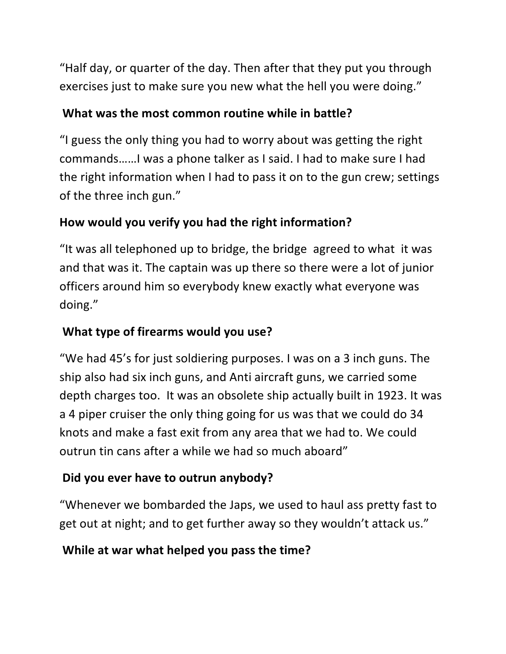"Half day, or quarter of the day. Then after that they put you through exercises just to make sure you new what the hell you were doing."

#### **What was the most common routine while in battle?**

"I guess the only thing you had to worry about was getting the right commands......I was a phone talker as I said. I had to make sure I had the right information when I had to pass it on to the gun crew; settings of the three inch gun."

## How would you verify you had the right information?

"It was all telephoned up to bridge, the bridge agreed to what it was and that was it. The captain was up there so there were a lot of junior officers around him so everybody knew exactly what everyone was doing."

### **What type of firearms would you use?**

"We had 45's for just soldiering purposes. I was on a 3 inch guns. The ship also had six inch guns, and Anti aircraft guns, we carried some depth charges too. It was an obsolete ship actually built in 1923. It was a 4 piper cruiser the only thing going for us was that we could do 34 knots and make a fast exit from any area that we had to. We could outrun tin cans after a while we had so much aboard"

# **Did you ever have to outrun anybody?**

"Whenever we bombarded the Japs, we used to haul ass pretty fast to get out at night; and to get further away so they wouldn't attack us."

### **While at war what helped you pass the time?**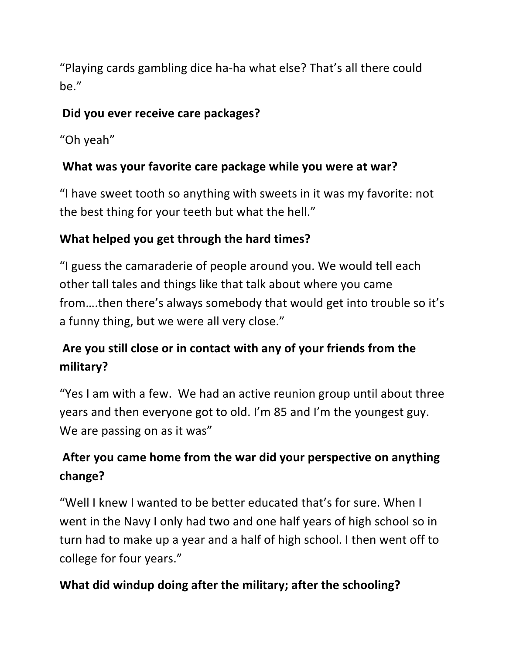"Playing cards gambling dice ha-ha what else? That's all there could be."

#### **Did you ever receive care packages?**

"Oh yeah"

### What was your favorite care package while you were at war?

"I have sweet tooth so anything with sweets in it was my favorite: not the best thing for your teeth but what the hell."

### **What helped you get through the hard times?**

"I guess the camaraderie of people around you. We would tell each other tall tales and things like that talk about where you came from....then there's always somebody that would get into trouble so it's a funny thing, but we were all very close."

# Are you still close or in contact with any of your friends from the **military?**

"Yes I am with a few. We had an active reunion group until about three years and then everyone got to old. I'm 85 and I'm the youngest guy. We are passing on as it was"

# After you came home from the war did your perspective on anything **change?**

"Well I knew I wanted to be better educated that's for sure. When I went in the Navy I only had two and one half years of high school so in turn had to make up a year and a half of high school. I then went off to college for four years."

# **What did windup doing after the military; after the schooling?**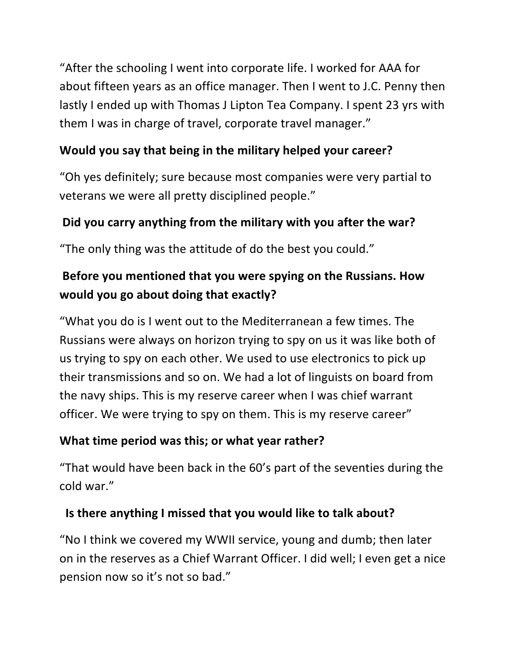"After the schooling I went into corporate life. I worked for AAA for about fifteen years as an office manager. Then I went to J.C. Penny then lastly I ended up with Thomas J Lipton Tea Company. I spent 23 yrs with them I was in charge of travel, corporate travel manager."

#### **Would you say that being in the military helped your career?**

"Oh yes definitely; sure because most companies were very partial to veterans we were all pretty disciplined people."

#### Did you carry anything from the military with you after the war?

"The only thing was the attitude of do the best you could."

# Before you mentioned that you were spying on the Russians. How **would you go about doing that exactly?**

"What you do is I went out to the Mediterranean a few times. The Russians were always on horizon trying to spy on us it was like both of us trying to spy on each other. We used to use electronics to pick up their transmissions and so on. We had a lot of linguists on board from the navy ships. This is my reserve career when I was chief warrant officer. We were trying to spy on them. This is my reserve career"

#### **What time period was this; or what year rather?**

"That would have been back in the 60's part of the seventies during the cold war."

#### **Is there anything I missed that you would like to talk about?**

"No I think we covered my WWII service, young and dumb; then later on in the reserves as a Chief Warrant Officer. I did well; I even get a nice pension now so it's not so bad."